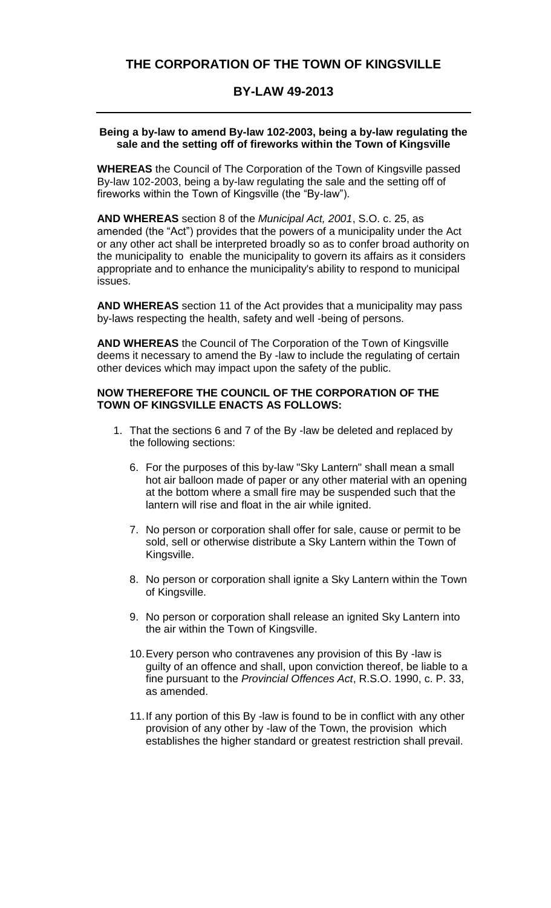# **BY-LAW 49-2013**

#### **Being a by-law to amend By-law 102-2003, being a by-law regulating the sale and the setting off of fireworks within the Town of Kingsville**

**WHEREAS** the Council of The Corporation of the Town of Kingsville passed By-law 102-2003, being a by-law regulating the sale and the setting off of fireworks within the Town of Kingsville (the "By-law").

**AND WHEREAS** section 8 of the *Municipal Act, 2001*, S.O. c. 25, as amended (the "Act") provides that the powers of a municipality under the Act or any other act shall be interpreted broadly so as to confer broad authority on the municipality to enable the municipality to govern its affairs as it considers appropriate and to enhance the municipality's ability to respond to municipal issues.

**AND WHEREAS** section 11 of the Act provides that a municipality may pass by-laws respecting the health, safety and well -being of persons.

**AND WHEREAS** the Council of The Corporation of the Town of Kingsville deems it necessary to amend the By -law to include the regulating of certain other devices which may impact upon the safety of the public.

## **NOW THEREFORE THE COUNCIL OF THE CORPORATION OF THE TOWN OF KINGSVILLE ENACTS AS FOLLOWS:**

- 1. That the sections 6 and 7 of the By -law be deleted and replaced by the following sections:
	- 6. For the purposes of this by-law "Sky Lantern" shall mean a small hot air balloon made of paper or any other material with an opening at the bottom where a small fire may be suspended such that the lantern will rise and float in the air while ignited.
	- 7. No person or corporation shall offer for sale, cause or permit to be sold, sell or otherwise distribute a Sky Lantern within the Town of Kingsville.
	- 8. No person or corporation shall ignite a Sky Lantern within the Town of Kingsville.
	- 9. No person or corporation shall release an ignited Sky Lantern into the air within the Town of Kingsville.
	- 10.Every person who contravenes any provision of this By -law is guilty of an offence and shall, upon conviction thereof, be liable to a fine pursuant to the *Provincial Offences Act*, R.S.O. 1990, c. P. 33, as amended.
	- 11.If any portion of this By -law is found to be in conflict with any other provision of any other by -law of the Town, the provision which establishes the higher standard or greatest restriction shall prevail.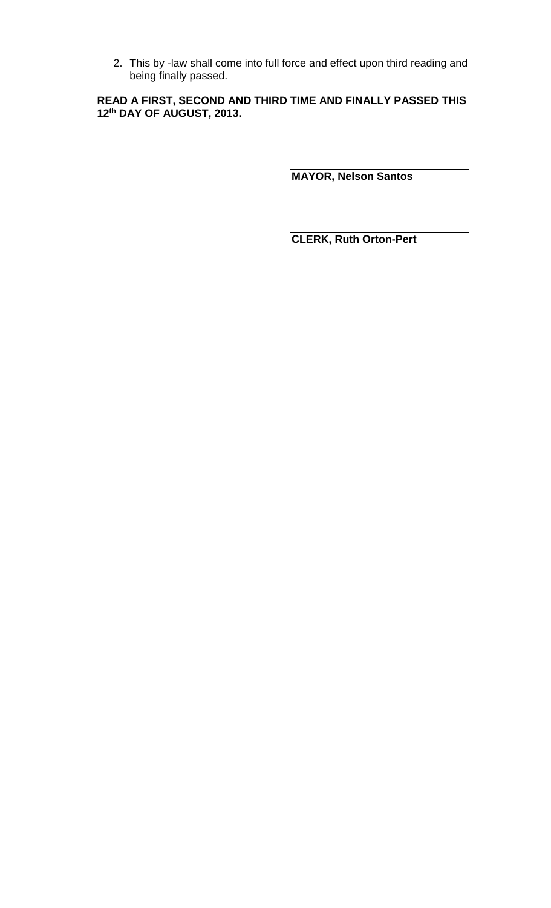2. This by -law shall come into full force and effect upon third reading and being finally passed.

**READ A FIRST, SECOND AND THIRD TIME AND FINALLY PASSED THIS 12th DAY OF AUGUST, 2013.**

**MAYOR, Nelson Santos**

**CLERK, Ruth Orton-Pert**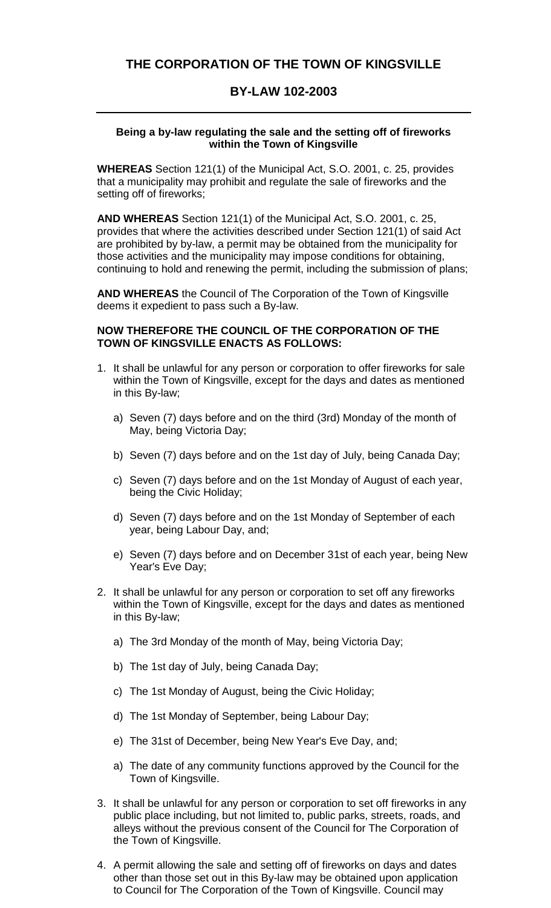# **THE CORPORATION OF THE TOWN OF KINGSVILLE**

### **BY-LAW 102-2003**

#### **Being a by-law regulating the sale and the setting off of fireworks within the Town of Kingsville**

**WHEREAS** Section 121(1) of the Municipal Act, S.O. 2001, c. 25, provides that a municipality may prohibit and regulate the sale of fireworks and the setting off of fireworks;

**AND WHEREAS** Section 121(1) of the Municipal Act, S.O. 2001, c. 25, provides that where the activities described under Section 121(1) of said Act are prohibited by by-law, a permit may be obtained from the municipality for those activities and the municipality may impose conditions for obtaining, continuing to hold and renewing the permit, including the submission of plans;

**AND WHEREAS** the Council of The Corporation of the Town of Kingsville deems it expedient to pass such a By-law.

### **NOW THEREFORE THE COUNCIL OF THE CORPORATION OF THE TOWN OF KINGSVILLE ENACTS AS FOLLOWS:**

- 1. It shall be unlawful for any person or corporation to offer fireworks for sale within the Town of Kingsville, except for the days and dates as mentioned in this By-law;
	- a) Seven (7) days before and on the third (3rd) Monday of the month of May, being Victoria Day;
	- b) Seven (7) days before and on the 1st day of July, being Canada Day;
	- c) Seven (7) days before and on the 1st Monday of August of each year, being the Civic Holiday;
	- d) Seven (7) days before and on the 1st Monday of September of each year, being Labour Day, and;
	- e) Seven (7) days before and on December 31st of each year, being New Year's Eve Day;
- 2. It shall be unlawful for any person or corporation to set off any fireworks within the Town of Kingsville, except for the days and dates as mentioned in this By-law;
	- a) The 3rd Monday of the month of May, being Victoria Day;
	- b) The 1st day of July, being Canada Day;
	- c) The 1st Monday of August, being the Civic Holiday;
	- d) The 1st Monday of September, being Labour Day;
	- e) The 31st of December, being New Year's Eve Day, and;
	- a) The date of any community functions approved by the Council for the Town of Kingsville.
- 3. It shall be unlawful for any person or corporation to set off fireworks in any public place including, but not limited to, public parks, streets, roads, and alleys without the previous consent of the Council for The Corporation of the Town of Kingsville.
- 4. A permit allowing the sale and setting off of fireworks on days and dates other than those set out in this By-law may be obtained upon application to Council for The Corporation of the Town of Kingsville. Council may